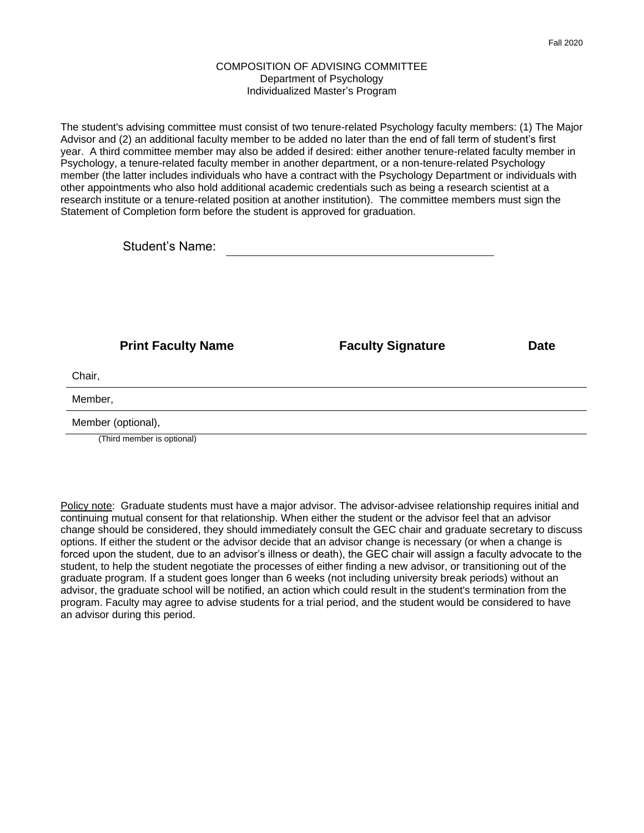## COMPOSITION OF ADVISING COMMITTEE Department of Psychology Individualized Master's Program

The student's advising committee must consist of two tenure-related Psychology faculty members: (1) The Major Advisor and (2) an additional faculty member to be added no later than the end of fall term of student's first year. A third committee member may also be added if desired: either another tenure-related faculty member in Psychology, a tenure-related faculty member in another department, or a non-tenure-related Psychology member (the latter includes individuals who have a contract with the Psychology Department or individuals with other appointments who also hold additional academic credentials such as being a research scientist at a research institute or a tenure-related position at another institution). The committee members must sign the Statement of Completion form before the student is approved for graduation.

|                    | <b>Print Faculty Name</b>  | <b>Faculty Signature</b> | <b>Date</b> |
|--------------------|----------------------------|--------------------------|-------------|
| Chair,             |                            |                          |             |
| Member,            |                            |                          |             |
| Member (optional), |                            |                          |             |
|                    | (Third member is optional) |                          |             |

Policy note: Graduate students must have a major advisor. The advisor-advisee relationship requires initial and continuing mutual consent for that relationship. When either the student or the advisor feel that an advisor change should be considered, they should immediately consult the GEC chair and graduate secretary to discuss options. If either the student or the advisor decide that an advisor change is necessary (or when a change is forced upon the student, due to an advisor's illness or death), the GEC chair will assign a faculty advocate to the student, to help the student negotiate the processes of either finding a new advisor, or transitioning out of the graduate program. If a student goes longer than 6 weeks (not including university break periods) without an advisor, the graduate school will be notified, an action which could result in the student's termination from the program. Faculty may agree to advise students for a trial period, and the student would be considered to have an advisor during this period.